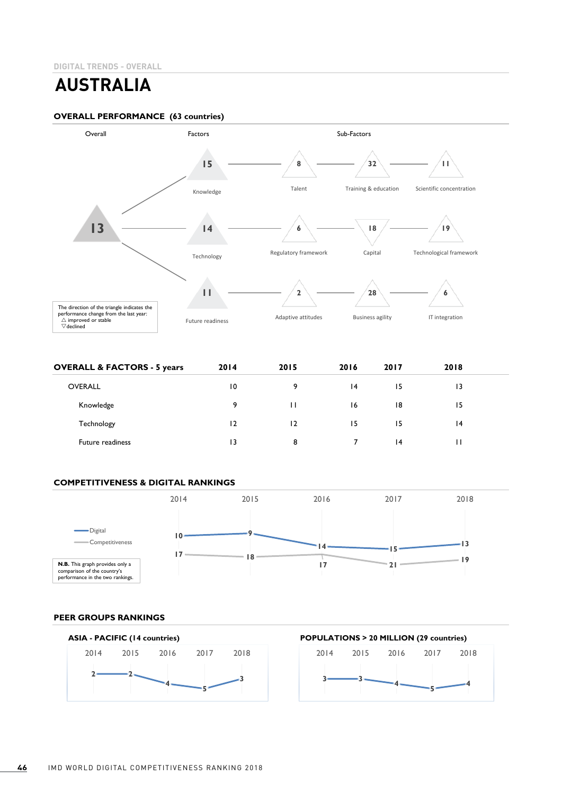# **AUSTRALIA**

## **OVERALL PERFORMANCE (63 countries)**



| <b>OVERALL &amp; FACTORS - 5 years</b> | 2014            | 2015 | 2016 | 2017 | 2018 |  |
|----------------------------------------|-----------------|------|------|------|------|--|
| <b>OVERALL</b>                         | $\overline{10}$ | 9    | 14   | 15   | 13   |  |
| Knowledge                              | 9               | Ш    | 16   | 18   | 15   |  |
| Technology                             | $\overline{2}$  | 12   | 15   | 15   | 14   |  |
| <b>Future readiness</b>                | 13              | 8    |      | 4    | п    |  |

# **COMPETITIVENESS & DIGITAL RANKINGS**



# **PEER GROUPS RANKINGS**